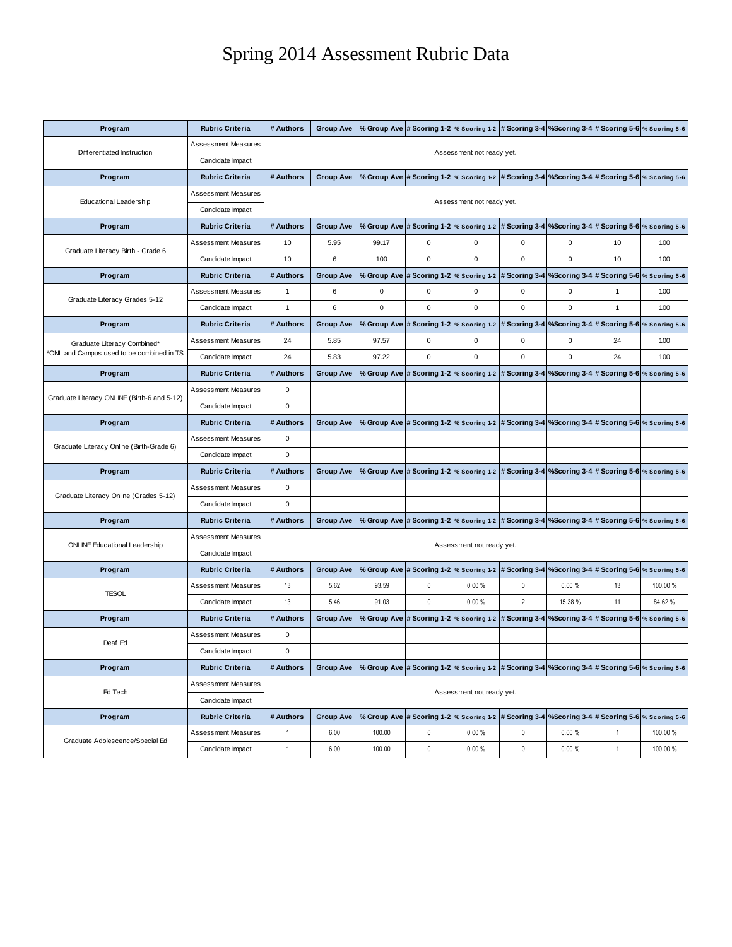## Spring 2014 Assessment Rubric Data

| Program                                                                  | <b>Rubric Criteria</b>     | # Authors                 | <b>Group Ave</b> |             |                                         |                                                                       |                |             | % Group Ave # Scoring 1-2 % Scoring 1-2 # Scoring 3-4 % Scoring 3-4 # Scoring 5-6 % Scoring 5-6           |              |
|--------------------------------------------------------------------------|----------------------------|---------------------------|------------------|-------------|-----------------------------------------|-----------------------------------------------------------------------|----------------|-------------|-----------------------------------------------------------------------------------------------------------|--------------|
| Differentiated Instruction                                               | <b>Assessment Measures</b> |                           |                  |             |                                         |                                                                       |                |             |                                                                                                           |              |
|                                                                          | Candidate Impact           | Assessment not ready yet. |                  |             |                                         |                                                                       |                |             |                                                                                                           |              |
| Program                                                                  | <b>Rubric Criteria</b>     | # Authors                 | <b>Group Ave</b> |             |                                         |                                                                       |                |             | % Group Ave # Scoring 1-2   % Scoring 1-2   # Scoring 3-4   % Scoring 3-4   # Scoring 5-6   % Scoring 5-6 |              |
| <b>Educational Leadership</b>                                            | <b>Assessment Measures</b> |                           |                  |             |                                         |                                                                       |                |             |                                                                                                           |              |
|                                                                          | Candidate Impact           | Assessment not ready yet. |                  |             |                                         |                                                                       |                |             |                                                                                                           |              |
| Program                                                                  | <b>Rubric Criteria</b>     | # Authors                 | <b>Group Ave</b> |             | % Group Ave # Scoring 1-2 % Scoring 1-2 |                                                                       |                |             | # Scoring 3-4   % Scoring 3-4 # Scoring 5-6   % Scoring 5-6                                               |              |
| Graduate Literacy Birth - Grade 6                                        | <b>Assessment Measures</b> | 10                        | 5.95             | 99.17       | 0                                       | 0                                                                     | 0              | $\mathbf 0$ | 10                                                                                                        | 100          |
|                                                                          | Candidate Impact           | 10                        | 6                | 100         | 0                                       | 0                                                                     | $\mathbf 0$    | 0           | 10                                                                                                        | 100          |
| Program                                                                  | <b>Rubric Criteria</b>     | # Authors                 | <b>Group Ave</b> |             | % Group Ave # Scoring 1-2 % Scoring 1-2 |                                                                       | # Scoring 3-4  |             | %Scoring 3-4 # Scoring 5-6 % Scoring 5-6                                                                  |              |
| Graduate Literacy Grades 5-12                                            | <b>Assessment Measures</b> | $\mathbf{1}$              | 6                | 0           | 0                                       | 0                                                                     | $\mathbf 0$    | 0           | 1                                                                                                         | 100          |
|                                                                          | Candidate Impact           | 1                         | 6                | $\mathbf 0$ | 0                                       | $\mathbf 0$                                                           | $\mathbf 0$    | $\mathbf 0$ | $\mathbf{1}$                                                                                              | 100          |
| Program                                                                  | <b>Rubric Criteria</b>     | # Authors                 | <b>Group Ave</b> |             | % Group Ave # Scoring 1-2 % Scoring 1-2 |                                                                       |                |             | # Scoring 3-4   % Scoring 3-4   # Scoring 5-6   % Scoring 5-6                                             |              |
| Graduate Literacy Combined*<br>'ONL and Campus used to be combined in TS | <b>Assessment Measures</b> | 24                        | 5.85             | 97.57       | $\mathbf 0$                             | 0                                                                     | $\mathbf 0$    | 0           | 24                                                                                                        | 100          |
|                                                                          | Candidate Impact           | 24                        | 5.83             | 97.22       | 0                                       | 0                                                                     | $\mathbf 0$    | 0           | 24                                                                                                        | 100          |
| Program                                                                  | <b>Rubric Criteria</b>     | # Authors                 | <b>Group Ave</b> |             | % Group Ave # Scoring 1-2 % Scoring 1-2 |                                                                       | # Scoring 3-4  |             | %Scoring 3-4 # Scoring 5-6 % Scoring 5-6                                                                  |              |
|                                                                          | <b>Assessment Measures</b> | 0                         |                  |             |                                         |                                                                       |                |             |                                                                                                           |              |
| Graduate Literacy ONLINE (Birth-6 and 5-12)                              | Candidate Impact           | 0                         |                  |             |                                         |                                                                       |                |             |                                                                                                           |              |
| Program                                                                  | <b>Rubric Criteria</b>     | # Authors                 | <b>Group Ave</b> |             | % Group Ave # Scoring 1-2 % Scoring 1-2 |                                                                       |                |             | # Scoring 3-4   % Scoring 3-4   # Scoring 5-6   % Scoring 5-6                                             |              |
| Graduate Literacy Online (Birth-Grade 6)                                 | <b>Assessment Measures</b> | 0                         |                  |             |                                         |                                                                       |                |             |                                                                                                           |              |
|                                                                          | Candidate Impact           | 0                         |                  |             |                                         |                                                                       |                |             |                                                                                                           |              |
| Program                                                                  | <b>Rubric Criteria</b>     | # Authors                 | <b>Group Ave</b> |             | % Group Ave # Scoring 1-2 % Scoring 1-2 |                                                                       |                |             | # Scoring 3-4 %Scoring 3-4 # Scoring 5-6 % Scoring 5-6                                                    |              |
| Graduate Literacy Online (Grades 5-12)                                   | <b>Assessment Measures</b> | 0                         |                  |             |                                         |                                                                       |                |             |                                                                                                           |              |
|                                                                          | Candidate Impact           | $\mathbf 0$               |                  |             |                                         |                                                                       |                |             |                                                                                                           |              |
| Program                                                                  | <b>Rubric Criteria</b>     | # Authors                 | <b>Group Ave</b> |             |                                         |                                                                       |                |             | % Group Ave # Scoring 1-2   % Scoring 1-2   # Scoring 3-4   % Scoring 3-4   # Scoring 5-6   % Scoring 5-6 |              |
|                                                                          | <b>Assessment Measures</b> |                           |                  |             |                                         |                                                                       |                |             |                                                                                                           |              |
| <b>ONLINE Educational Leadership</b>                                     | Candidate Impact           | Assessment not ready yet. |                  |             |                                         |                                                                       |                |             |                                                                                                           |              |
| Program                                                                  | <b>Rubric Criteria</b>     | # Authors                 | <b>Group Ave</b> |             | % Group Ave # Scoring 1-2 % Scoring 1-2 |                                                                       | # Scoring 3-4  |             | %Scoring 3-4 # Scoring 5-6 % Scoring 5-6                                                                  |              |
| <b>TESOL</b>                                                             | <b>Assessment Measures</b> | 13                        | 5.62             | 93.59       | $\mathbf{0}$                            | 0.00%                                                                 | 0              | 0.00%       | 13                                                                                                        | 100.00 %     |
|                                                                          | Candidate Impact           | 13                        | 5.46             | 91.03       | $\mathbf 0$                             | 0.00%                                                                 | $\overline{2}$ | 15.38 %     | 11                                                                                                        | 84.62%       |
| Program                                                                  | <b>Rubric Criteria</b>     | # Authors                 | <b>Group Ave</b> | % Group Ave |                                         | # Scoring 1-2 % Scoring 1-2 # Scoring 3-4 % Scoring 3-4 # Scoring 5-6 |                |             |                                                                                                           | % Scoring 5- |
| Deaf Ed                                                                  | <b>Assessment Measures</b> | 0                         |                  |             |                                         |                                                                       |                |             |                                                                                                           |              |
|                                                                          | Candidate Impact           | 0                         |                  |             |                                         |                                                                       |                |             |                                                                                                           |              |
| Program                                                                  | <b>Rubric Criteria</b>     | # Authors                 | <b>Group Ave</b> |             |                                         |                                                                       |                |             | % Group Ave # Scoring 1-2 % Scoring 1-2 # Scoring 3-4 % Scoring 3-4 # Scoring 5-6 % Scoring 5-6           |              |
| Ed Tech                                                                  | <b>Assessment Measures</b> | Assessment not ready yet. |                  |             |                                         |                                                                       |                |             |                                                                                                           |              |
|                                                                          | Candidate Impact           |                           |                  |             |                                         |                                                                       |                |             |                                                                                                           |              |
| Program                                                                  | <b>Rubric Criteria</b>     | # Authors                 | <b>Group Ave</b> |             | % Group Ave # Scoring 1-2 % Scoring 1-2 |                                                                       | # Scoring 3-4  |             | %Scoring 3-4 # Scoring 5-6 % Scoring 5-6                                                                  |              |
| Graduate Adolescence/Special Ed                                          | <b>Assessment Measures</b> | $\mathbf{1}$              | 6.00             | 100.00      | 0                                       | 0.00%                                                                 | 0              | 0.00%       | $\mathbf{1}$                                                                                              | 100.00 %     |
|                                                                          | Candidate Impact           | $\mathbf{1}$              | 6.00             | 100.00      | 0                                       | 0.00%                                                                 | 0              | 0.00%       | $\mathbf{1}$                                                                                              | 100.00 %     |